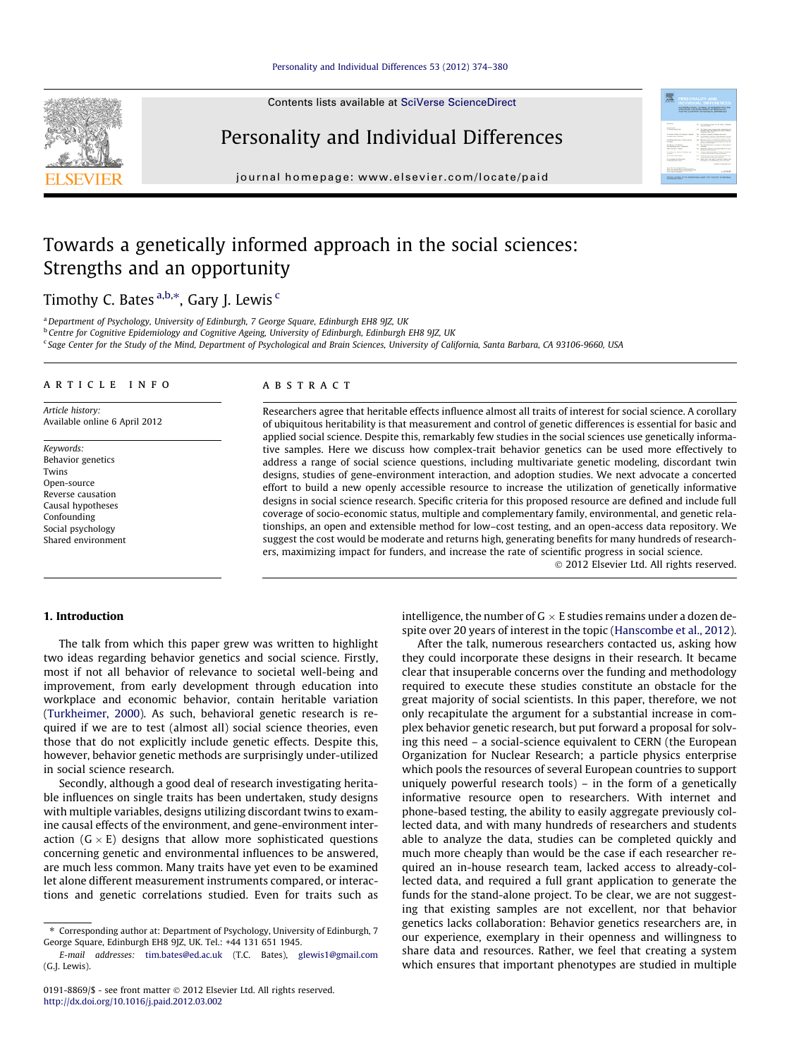Contents lists available at [SciVerse ScienceDirect](http://www.sciencedirect.com/science/journal/01918869)



Personality and Individual Differences

journal homepage: [www.elsevier.com/locate/paid](http://www.elsevier.com/locate/paid)

# Towards a genetically informed approach in the social sciences: Strengths and an opportunity

Timothy C. Bates <sup>a,b,</sup>\*, Gary J. Lewis <sup>c</sup>

<sup>a</sup> Department of Psychology, University of Edinburgh, 7 George Square, Edinburgh EH8 9JZ, UK

<sup>b</sup> Centre for Cognitive Epidemiology and Cognitive Ageing, University of Edinburgh, Edinburgh EH8 9JZ, UK

<sup>c</sup> Sage Center for the Study of the Mind, Department of Psychological and Brain Sciences, University of California, Santa Barbara, CA 93106-9660, USA

## article info

Article history: Available online 6 April 2012

Keywords: Behavior genetics Twins Open-source Reverse causation Causal hypotheses Confounding Social psychology Shared environment

## ABSTRACT

Researchers agree that heritable effects influence almost all traits of interest for social science. A corollary of ubiquitous heritability is that measurement and control of genetic differences is essential for basic and applied social science. Despite this, remarkably few studies in the social sciences use genetically informative samples. Here we discuss how complex-trait behavior genetics can be used more effectively to address a range of social science questions, including multivariate genetic modeling, discordant twin designs, studies of gene-environment interaction, and adoption studies. We next advocate a concerted effort to build a new openly accessible resource to increase the utilization of genetically informative designs in social science research. Specific criteria for this proposed resource are defined and include full coverage of socio-economic status, multiple and complementary family, environmental, and genetic relationships, an open and extensible method for low–cost testing, and an open-access data repository. We suggest the cost would be moderate and returns high, generating benefits for many hundreds of researchers, maximizing impact for funders, and increase the rate of scientific progress in social science.

- 2012 Elsevier Ltd. All rights reserved.

需

# 1. Introduction

The talk from which this paper grew was written to highlight two ideas regarding behavior genetics and social science. Firstly, most if not all behavior of relevance to societal well-being and improvement, from early development through education into workplace and economic behavior, contain heritable variation ([Turkheimer, 2000\)](#page-6-0). As such, behavioral genetic research is required if we are to test (almost all) social science theories, even those that do not explicitly include genetic effects. Despite this, however, behavior genetic methods are surprisingly under-utilized in social science research.

Secondly, although a good deal of research investigating heritable influences on single traits has been undertaken, study designs with multiple variables, designs utilizing discordant twins to examine causal effects of the environment, and gene-environment interaction (G  $\times$  E) designs that allow more sophisticated questions concerning genetic and environmental influences to be answered, are much less common. Many traits have yet even to be examined let alone different measurement instruments compared, or interactions and genetic correlations studied. Even for traits such as intelligence, the number of G  $\times$  E studies remains under a dozen despite over 20 years of interest in the topic [\(Hanscombe et al., 2012\)](#page-5-0).

After the talk, numerous researchers contacted us, asking how they could incorporate these designs in their research. It became clear that insuperable concerns over the funding and methodology required to execute these studies constitute an obstacle for the great majority of social scientists. In this paper, therefore, we not only recapitulate the argument for a substantial increase in complex behavior genetic research, but put forward a proposal for solving this need – a social-science equivalent to CERN (the European Organization for Nuclear Research; a particle physics enterprise which pools the resources of several European countries to support uniquely powerful research tools) – in the form of a genetically informative resource open to researchers. With internet and phone-based testing, the ability to easily aggregate previously collected data, and with many hundreds of researchers and students able to analyze the data, studies can be completed quickly and much more cheaply than would be the case if each researcher required an in-house research team, lacked access to already-collected data, and required a full grant application to generate the funds for the stand-alone project. To be clear, we are not suggesting that existing samples are not excellent, nor that behavior genetics lacks collaboration: Behavior genetics researchers are, in our experience, exemplary in their openness and willingness to share data and resources. Rather, we feel that creating a system which ensures that important phenotypes are studied in multiple

<sup>⇑</sup> Corresponding author at: Department of Psychology, University of Edinburgh, 7 George Square, Edinburgh EH8 9JZ, UK. Tel.: +44 131 651 1945.

E-mail addresses: [tim.bates@ed.ac.uk](mailto:tim.bates@ed.ac.uk) (T.C. Bates), [glewis1@gmail.com](mailto:glewis1@gmail.com) (G.J. Lewis).

<sup>0191-8869/\$ -</sup> see front matter © 2012 Elsevier Ltd. All rights reserved. <http://dx.doi.org/10.1016/j.paid.2012.03.002>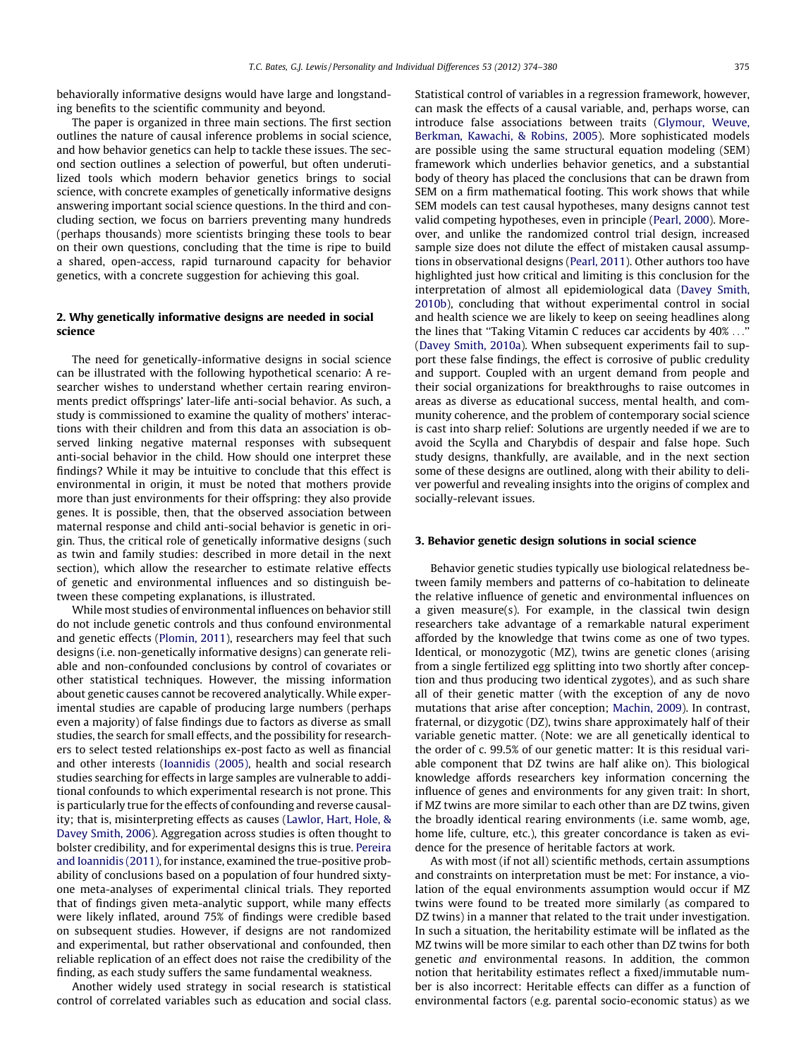<span id="page-1-0"></span>behaviorally informative designs would have large and longstanding benefits to the scientific community and beyond.

The paper is organized in three main sections. The first section outlines the nature of causal inference problems in social science, and how behavior genetics can help to tackle these issues. The second section outlines a selection of powerful, but often underutilized tools which modern behavior genetics brings to social science, with concrete examples of genetically informative designs answering important social science questions. In the third and concluding section, we focus on barriers preventing many hundreds (perhaps thousands) more scientists bringing these tools to bear on their own questions, concluding that the time is ripe to build a shared, open-access, rapid turnaround capacity for behavior genetics, with a concrete suggestion for achieving this goal.

# 2. Why genetically informative designs are needed in social science

The need for genetically-informative designs in social science can be illustrated with the following hypothetical scenario: A researcher wishes to understand whether certain rearing environments predict offsprings' later-life anti-social behavior. As such, a study is commissioned to examine the quality of mothers' interactions with their children and from this data an association is observed linking negative maternal responses with subsequent anti-social behavior in the child. How should one interpret these findings? While it may be intuitive to conclude that this effect is environmental in origin, it must be noted that mothers provide more than just environments for their offspring: they also provide genes. It is possible, then, that the observed association between maternal response and child anti-social behavior is genetic in origin. Thus, the critical role of genetically informative designs (such as twin and family studies: described in more detail in the next section), which allow the researcher to estimate relative effects of genetic and environmental influences and so distinguish between these competing explanations, is illustrated.

While most studies of environmental influences on behavior still do not include genetic controls and thus confound environmental and genetic effects [\(Plomin, 2011\)](#page-6-0), researchers may feel that such designs (i.e. non-genetically informative designs) can generate reliable and non-confounded conclusions by control of covariates or other statistical techniques. However, the missing information about genetic causes cannot be recovered analytically. While experimental studies are capable of producing large numbers (perhaps even a majority) of false findings due to factors as diverse as small studies, the search for small effects, and the possibility for researchers to select tested relationships ex-post facto as well as financial and other interests [\(Ioannidis \(2005\)](#page-6-0), health and social research studies searching for effects in large samples are vulnerable to additional confounds to which experimental research is not prone. This is particularly true for the effects of confounding and reverse causality; that is, misinterpreting effects as causes [\(Lawlor, Hart, Hole, &](#page-6-0) [Davey Smith, 2006](#page-6-0)). Aggregation across studies is often thought to bolster credibility, and for experimental designs this is true. [Pereira](#page-6-0) [and Ioannidis \(2011\)](#page-6-0), for instance, examined the true-positive probability of conclusions based on a population of four hundred sixtyone meta-analyses of experimental clinical trials. They reported that of findings given meta-analytic support, while many effects were likely inflated, around 75% of findings were credible based on subsequent studies. However, if designs are not randomized and experimental, but rather observational and confounded, then reliable replication of an effect does not raise the credibility of the finding, as each study suffers the same fundamental weakness.

Another widely used strategy in social research is statistical control of correlated variables such as education and social class.

Statistical control of variables in a regression framework, however, can mask the effects of a causal variable, and, perhaps worse, can introduce false associations between traits ([Glymour, Weuve,](#page-5-0) [Berkman, Kawachi, & Robins, 2005\)](#page-5-0). More sophisticated models are possible using the same structural equation modeling (SEM) framework which underlies behavior genetics, and a substantial body of theory has placed the conclusions that can be drawn from SEM on a firm mathematical footing. This work shows that while SEM models can test causal hypotheses, many designs cannot test valid competing hypotheses, even in principle [\(Pearl, 2000](#page-6-0)). Moreover, and unlike the randomized control trial design, increased sample size does not dilute the effect of mistaken causal assumptions in observational designs ([Pearl, 2011](#page-6-0)). Other authors too have highlighted just how critical and limiting is this conclusion for the interpretation of almost all epidemiological data ([Davey Smith,](#page-5-0) [2010b](#page-5-0)), concluding that without experimental control in social and health science we are likely to keep on seeing headlines along the lines that ''Taking Vitamin C reduces car accidents by 40% ...'' ([Davey Smith, 2010a\)](#page-5-0). When subsequent experiments fail to support these false findings, the effect is corrosive of public credulity and support. Coupled with an urgent demand from people and their social organizations for breakthroughs to raise outcomes in areas as diverse as educational success, mental health, and community coherence, and the problem of contemporary social science is cast into sharp relief: Solutions are urgently needed if we are to avoid the Scylla and Charybdis of despair and false hope. Such study designs, thankfully, are available, and in the next section some of these designs are outlined, along with their ability to deliver powerful and revealing insights into the origins of complex and socially-relevant issues.

## 3. Behavior genetic design solutions in social science

Behavior genetic studies typically use biological relatedness between family members and patterns of co-habitation to delineate the relative influence of genetic and environmental influences on a given measure(s). For example, in the classical twin design researchers take advantage of a remarkable natural experiment afforded by the knowledge that twins come as one of two types. Identical, or monozygotic (MZ), twins are genetic clones (arising from a single fertilized egg splitting into two shortly after conception and thus producing two identical zygotes), and as such share all of their genetic matter (with the exception of any de novo mutations that arise after conception; [Machin, 2009\)](#page-6-0). In contrast, fraternal, or dizygotic (DZ), twins share approximately half of their variable genetic matter. (Note: we are all genetically identical to the order of c. 99.5% of our genetic matter: It is this residual variable component that DZ twins are half alike on). This biological knowledge affords researchers key information concerning the influence of genes and environments for any given trait: In short, if MZ twins are more similar to each other than are DZ twins, given the broadly identical rearing environments (i.e. same womb, age, home life, culture, etc.), this greater concordance is taken as evidence for the presence of heritable factors at work.

As with most (if not all) scientific methods, certain assumptions and constraints on interpretation must be met: For instance, a violation of the equal environments assumption would occur if MZ twins were found to be treated more similarly (as compared to DZ twins) in a manner that related to the trait under investigation. In such a situation, the heritability estimate will be inflated as the MZ twins will be more similar to each other than DZ twins for both genetic and environmental reasons. In addition, the common notion that heritability estimates reflect a fixed/immutable number is also incorrect: Heritable effects can differ as a function of environmental factors (e.g. parental socio-economic status) as we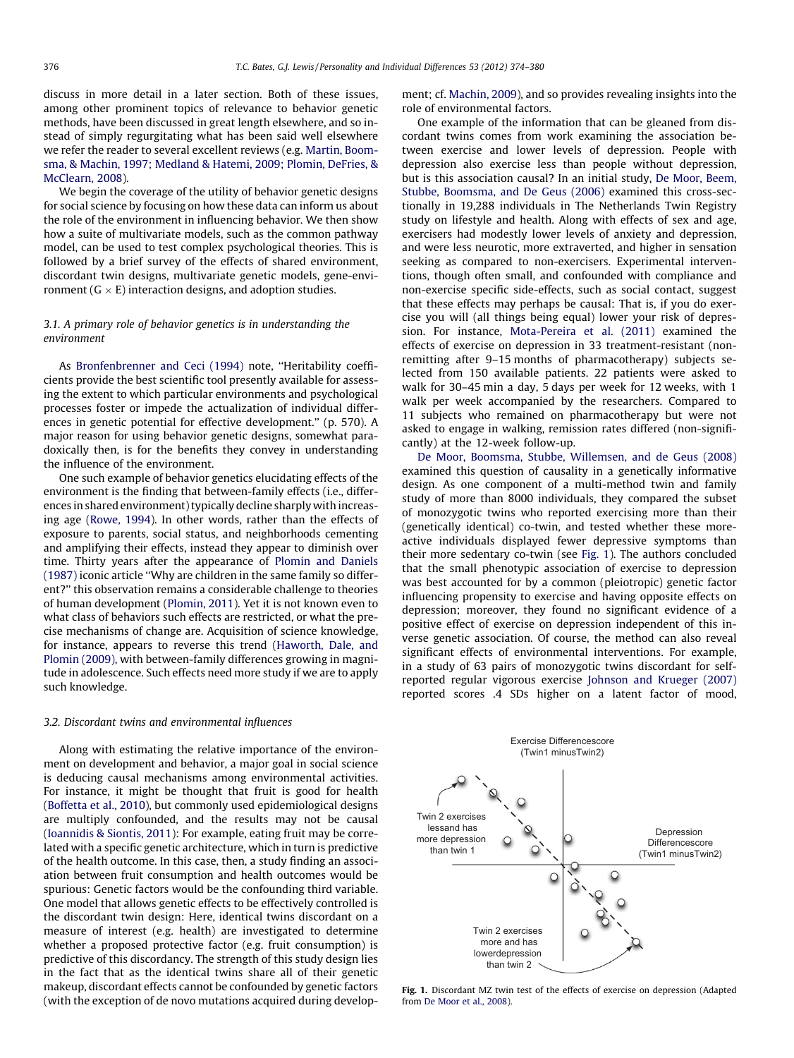discuss in more detail in a later section. Both of these issues, among other prominent topics of relevance to behavior genetic methods, have been discussed in great length elsewhere, and so instead of simply regurgitating what has been said well elsewhere we refer the reader to several excellent reviews (e.g. [Martin, Boom](#page-6-0)[sma, & Machin, 1997; Medland & Hatemi, 2009; Plomin, DeFries, &](#page-6-0) [McClearn, 2008\)](#page-6-0).

We begin the coverage of the utility of behavior genetic designs for social science by focusing on how these data can inform us about the role of the environment in influencing behavior. We then show how a suite of multivariate models, such as the common pathway model, can be used to test complex psychological theories. This is followed by a brief survey of the effects of shared environment, discordant twin designs, multivariate genetic models, gene-environment (G  $\times$  E) interaction designs, and adoption studies.

## 3.1. A primary role of behavior genetics is in understanding the environment

As [Bronfenbrenner and Ceci \(1994\)](#page-5-0) note, ''Heritability coefficients provide the best scientific tool presently available for assessing the extent to which particular environments and psychological processes foster or impede the actualization of individual differences in genetic potential for effective development.'' (p. 570). A major reason for using behavior genetic designs, somewhat paradoxically then, is for the benefits they convey in understanding the influence of the environment.

One such example of behavior genetics elucidating effects of the environment is the finding that between-family effects (i.e., differences in shared environment) typically decline sharply with increasing age ([Rowe, 1994\)](#page-6-0). In other words, rather than the effects of exposure to parents, social status, and neighborhoods cementing and amplifying their effects, instead they appear to diminish over time. Thirty years after the appearance of [Plomin and Daniels](#page-6-0) [\(1987\)](#page-6-0) iconic article ''Why are children in the same family so different?'' this observation remains a considerable challenge to theories of human development ([Plomin, 2011](#page-6-0)). Yet it is not known even to what class of behaviors such effects are restricted, or what the precise mechanisms of change are. Acquisition of science knowledge, for instance, appears to reverse this trend ([Haworth, Dale, and](#page-5-0) [Plomin \(2009\)](#page-5-0), with between-family differences growing in magnitude in adolescence. Such effects need more study if we are to apply such knowledge.

#### 3.2. Discordant twins and environmental influences

Along with estimating the relative importance of the environment on development and behavior, a major goal in social science is deducing causal mechanisms among environmental activities. For instance, it might be thought that fruit is good for health ([Boffetta et al., 2010\)](#page-5-0), but commonly used epidemiological designs are multiply confounded, and the results may not be causal ([Ioannidis & Siontis, 2011\)](#page-6-0): For example, eating fruit may be correlated with a specific genetic architecture, which in turn is predictive of the health outcome. In this case, then, a study finding an association between fruit consumption and health outcomes would be spurious: Genetic factors would be the confounding third variable. One model that allows genetic effects to be effectively controlled is the discordant twin design: Here, identical twins discordant on a measure of interest (e.g. health) are investigated to determine whether a proposed protective factor (e.g. fruit consumption) is predictive of this discordancy. The strength of this study design lies in the fact that as the identical twins share all of their genetic makeup, discordant effects cannot be confounded by genetic factors (with the exception of de novo mutations acquired during development; cf. [Machin, 2009\)](#page-6-0), and so provides revealing insights into the role of environmental factors.

One example of the information that can be gleaned from discordant twins comes from work examining the association between exercise and lower levels of depression. People with depression also exercise less than people without depression, but is this association causal? In an initial study, [De Moor, Beem,](#page-5-0) [Stubbe, Boomsma, and De Geus \(2006\)](#page-5-0) examined this cross-sectionally in 19,288 individuals in The Netherlands Twin Registry study on lifestyle and health. Along with effects of sex and age, exercisers had modestly lower levels of anxiety and depression, and were less neurotic, more extraverted, and higher in sensation seeking as compared to non-exercisers. Experimental interventions, though often small, and confounded with compliance and non-exercise specific side-effects, such as social contact, suggest that these effects may perhaps be causal: That is, if you do exercise you will (all things being equal) lower your risk of depression. For instance, [Mota-Pereira et al. \(2011\)](#page-6-0) examined the effects of exercise on depression in 33 treatment-resistant (nonremitting after 9–15 months of pharmacotherapy) subjects selected from 150 available patients. 22 patients were asked to walk for 30–45 min a day, 5 days per week for 12 weeks, with 1 walk per week accompanied by the researchers. Compared to 11 subjects who remained on pharmacotherapy but were not asked to engage in walking, remission rates differed (non-significantly) at the 12-week follow-up.

[De Moor, Boomsma, Stubbe, Willemsen, and de Geus \(2008\)](#page-5-0) examined this question of causality in a genetically informative design. As one component of a multi-method twin and family study of more than 8000 individuals, they compared the subset of monozygotic twins who reported exercising more than their (genetically identical) co-twin, and tested whether these moreactive individuals displayed fewer depressive symptoms than their more sedentary co-twin (see Fig. 1). The authors concluded that the small phenotypic association of exercise to depression was best accounted for by a common (pleiotropic) genetic factor influencing propensity to exercise and having opposite effects on depression; moreover, they found no significant evidence of a positive effect of exercise on depression independent of this inverse genetic association. Of course, the method can also reveal significant effects of environmental interventions. For example, in a study of 63 pairs of monozygotic twins discordant for selfreported regular vigorous exercise [Johnson and Krueger \(2007\)](#page-6-0) reported scores .4 SDs higher on a latent factor of mood,



Fig. 1. Discordant MZ twin test of the effects of exercise on depression (Adapted from [De Moor et al., 2008\)](#page-5-0).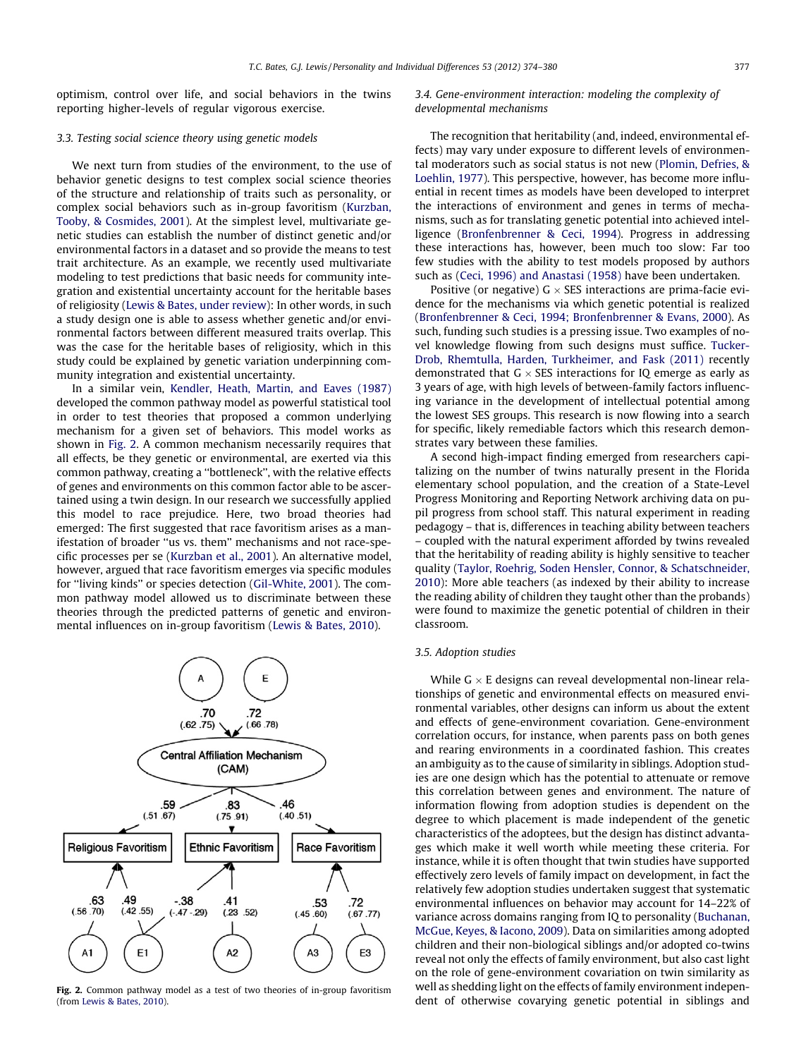optimism, control over life, and social behaviors in the twins reporting higher-levels of regular vigorous exercise.

## 3.3. Testing social science theory using genetic models

We next turn from studies of the environment, to the use of behavior genetic designs to test complex social science theories of the structure and relationship of traits such as personality, or complex social behaviors such as in-group favoritism [\(Kurzban,](#page-6-0) [Tooby, & Cosmides, 2001](#page-6-0)). At the simplest level, multivariate genetic studies can establish the number of distinct genetic and/or environmental factors in a dataset and so provide the means to test trait architecture. As an example, we recently used multivariate modeling to test predictions that basic needs for community integration and existential uncertainty account for the heritable bases of religiosity ([Lewis & Bates, under review\)](#page-6-0): In other words, in such a study design one is able to assess whether genetic and/or environmental factors between different measured traits overlap. This was the case for the heritable bases of religiosity, which in this study could be explained by genetic variation underpinning community integration and existential uncertainty.

In a similar vein, [Kendler, Heath, Martin, and Eaves \(1987\)](#page-6-0) developed the common pathway model as powerful statistical tool in order to test theories that proposed a common underlying mechanism for a given set of behaviors. This model works as shown in Fig. 2. A common mechanism necessarily requires that all effects, be they genetic or environmental, are exerted via this common pathway, creating a ''bottleneck'', with the relative effects of genes and environments on this common factor able to be ascertained using a twin design. In our research we successfully applied this model to race prejudice. Here, two broad theories had emerged: The first suggested that race favoritism arises as a manifestation of broader ''us vs. them'' mechanisms and not race-specific processes per se ([Kurzban et al., 2001](#page-6-0)). An alternative model, however, argued that race favoritism emerges via specific modules for ''living kinds'' or species detection [\(Gil-White, 2001\)](#page-5-0). The common pathway model allowed us to discriminate between these theories through the predicted patterns of genetic and environmental influences on in-group favoritism ([Lewis & Bates, 2010\)](#page-6-0).



Fig. 2. Common pathway model as a test of two theories of in-group favoritism (from [Lewis & Bates, 2010\)](#page-6-0).

## 3.4. Gene-environment interaction: modeling the complexity of developmental mechanisms

The recognition that heritability (and, indeed, environmental effects) may vary under exposure to different levels of environmental moderators such as social status is not new ([Plomin, Defries, &](#page-6-0) [Loehlin, 1977\)](#page-6-0). This perspective, however, has become more influential in recent times as models have been developed to interpret the interactions of environment and genes in terms of mechanisms, such as for translating genetic potential into achieved intelligence [\(Bronfenbrenner & Ceci, 1994\)](#page-5-0). Progress in addressing these interactions has, however, been much too slow: Far too few studies with the ability to test models proposed by authors such as [\(Ceci, 1996\) and Anastasi \(1958\)](#page-5-0) have been undertaken.

Positive (or negative) G  $\times$  SES interactions are prima-facie evidence for the mechanisms via which genetic potential is realized ([Bronfenbrenner & Ceci, 1994; Bronfenbrenner & Evans, 2000\)](#page-5-0). As such, funding such studies is a pressing issue. Two examples of novel knowledge flowing from such designs must suffice. [Tucker-](#page-6-0)[Drob, Rhemtulla, Harden, Turkheimer, and Fask \(2011\)](#page-6-0) recently demonstrated that G  $\times$  SES interactions for IQ emerge as early as 3 years of age, with high levels of between-family factors influencing variance in the development of intellectual potential among the lowest SES groups. This research is now flowing into a search for specific, likely remediable factors which this research demonstrates vary between these families.

A second high-impact finding emerged from researchers capitalizing on the number of twins naturally present in the Florida elementary school population, and the creation of a State-Level Progress Monitoring and Reporting Network archiving data on pupil progress from school staff. This natural experiment in reading pedagogy – that is, differences in teaching ability between teachers – coupled with the natural experiment afforded by twins revealed that the heritability of reading ability is highly sensitive to teacher quality ([Taylor, Roehrig, Soden Hensler, Connor, & Schatschneider,](#page-6-0) [2010](#page-6-0)): More able teachers (as indexed by their ability to increase the reading ability of children they taught other than the probands) were found to maximize the genetic potential of children in their classroom.

## 3.5. Adoption studies

While G  $\times$  E designs can reveal developmental non-linear relationships of genetic and environmental effects on measured environmental variables, other designs can inform us about the extent and effects of gene-environment covariation. Gene-environment correlation occurs, for instance, when parents pass on both genes and rearing environments in a coordinated fashion. This creates an ambiguity as to the cause of similarity in siblings. Adoption studies are one design which has the potential to attenuate or remove this correlation between genes and environment. The nature of information flowing from adoption studies is dependent on the degree to which placement is made independent of the genetic characteristics of the adoptees, but the design has distinct advantages which make it well worth while meeting these criteria. For instance, while it is often thought that twin studies have supported effectively zero levels of family impact on development, in fact the relatively few adoption studies undertaken suggest that systematic environmental influences on behavior may account for 14–22% of variance across domains ranging from IQ to personality ([Buchanan,](#page-5-0) [McGue, Keyes, & Iacono, 2009\)](#page-5-0). Data on similarities among adopted children and their non-biological siblings and/or adopted co-twins reveal not only the effects of family environment, but also cast light on the role of gene-environment covariation on twin similarity as well as shedding light on the effects of family environment independent of otherwise covarying genetic potential in siblings and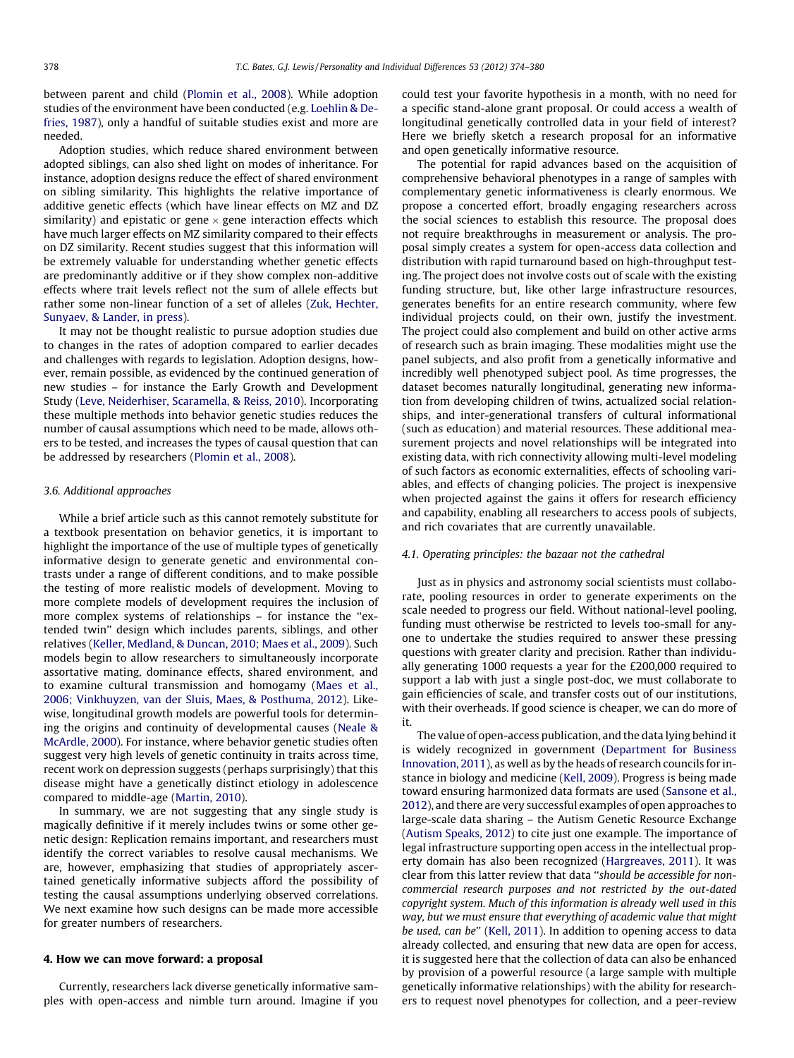between parent and child ([Plomin et al., 2008](#page-6-0)). While adoption studies of the environment have been conducted (e.g. [Loehlin & De](#page-6-0)[fries, 1987\)](#page-6-0), only a handful of suitable studies exist and more are needed.

Adoption studies, which reduce shared environment between adopted siblings, can also shed light on modes of inheritance. For instance, adoption designs reduce the effect of shared environment on sibling similarity. This highlights the relative importance of additive genetic effects (which have linear effects on MZ and DZ similarity) and epistatic or gene  $\times$  gene interaction effects which have much larger effects on MZ similarity compared to their effects on DZ similarity. Recent studies suggest that this information will be extremely valuable for understanding whether genetic effects are predominantly additive or if they show complex non-additive effects where trait levels reflect not the sum of allele effects but rather some non-linear function of a set of alleles ([Zuk, Hechter,](#page-6-0) [Sunyaev, & Lander, in press](#page-6-0)).

It may not be thought realistic to pursue adoption studies due to changes in the rates of adoption compared to earlier decades and challenges with regards to legislation. Adoption designs, however, remain possible, as evidenced by the continued generation of new studies – for instance the Early Growth and Development Study ([Leve, Neiderhiser, Scaramella, & Reiss, 2010](#page-6-0)). Incorporating these multiple methods into behavior genetic studies reduces the number of causal assumptions which need to be made, allows others to be tested, and increases the types of causal question that can be addressed by researchers ([Plomin et al., 2008](#page-6-0)).

#### 3.6. Additional approaches

While a brief article such as this cannot remotely substitute for a textbook presentation on behavior genetics, it is important to highlight the importance of the use of multiple types of genetically informative design to generate genetic and environmental contrasts under a range of different conditions, and to make possible the testing of more realistic models of development. Moving to more complete models of development requires the inclusion of more complex systems of relationships – for instance the ''extended twin'' design which includes parents, siblings, and other relatives ([Keller, Medland, & Duncan, 2010; Maes et al., 2009\)](#page-6-0). Such models begin to allow researchers to simultaneously incorporate assortative mating, dominance effects, shared environment, and to examine cultural transmission and homogamy [\(Maes et al.,](#page-6-0) [2006; Vinkhuyzen, van der Sluis, Maes, & Posthuma, 2012](#page-6-0)). Likewise, longitudinal growth models are powerful tools for determining the origins and continuity of developmental causes [\(Neale &](#page-6-0) [McArdle, 2000](#page-6-0)). For instance, where behavior genetic studies often suggest very high levels of genetic continuity in traits across time, recent work on depression suggests (perhaps surprisingly) that this disease might have a genetically distinct etiology in adolescence compared to middle-age ([Martin, 2010\)](#page-6-0).

In summary, we are not suggesting that any single study is magically definitive if it merely includes twins or some other genetic design: Replication remains important, and researchers must identify the correct variables to resolve causal mechanisms. We are, however, emphasizing that studies of appropriately ascertained genetically informative subjects afford the possibility of testing the causal assumptions underlying observed correlations. We next examine how such designs can be made more accessible for greater numbers of researchers.

#### 4. How we can move forward: a proposal

Currently, researchers lack diverse genetically informative samples with open-access and nimble turn around. Imagine if you could test your favorite hypothesis in a month, with no need for a specific stand-alone grant proposal. Or could access a wealth of longitudinal genetically controlled data in your field of interest? Here we briefly sketch a research proposal for an informative and open genetically informative resource.

The potential for rapid advances based on the acquisition of comprehensive behavioral phenotypes in a range of samples with complementary genetic informativeness is clearly enormous. We propose a concerted effort, broadly engaging researchers across the social sciences to establish this resource. The proposal does not require breakthroughs in measurement or analysis. The proposal simply creates a system for open-access data collection and distribution with rapid turnaround based on high-throughput testing. The project does not involve costs out of scale with the existing funding structure, but, like other large infrastructure resources, generates benefits for an entire research community, where few individual projects could, on their own, justify the investment. The project could also complement and build on other active arms of research such as brain imaging. These modalities might use the panel subjects, and also profit from a genetically informative and incredibly well phenotyped subject pool. As time progresses, the dataset becomes naturally longitudinal, generating new information from developing children of twins, actualized social relationships, and inter-generational transfers of cultural informational (such as education) and material resources. These additional measurement projects and novel relationships will be integrated into existing data, with rich connectivity allowing multi-level modeling of such factors as economic externalities, effects of schooling variables, and effects of changing policies. The project is inexpensive when projected against the gains it offers for research efficiency and capability, enabling all researchers to access pools of subjects, and rich covariates that are currently unavailable.

## 4.1. Operating principles: the bazaar not the cathedral

Just as in physics and astronomy social scientists must collaborate, pooling resources in order to generate experiments on the scale needed to progress our field. Without national-level pooling, funding must otherwise be restricted to levels too-small for anyone to undertake the studies required to answer these pressing questions with greater clarity and precision. Rather than individually generating 1000 requests a year for the £200,000 required to support a lab with just a single post-doc, we must collaborate to gain efficiencies of scale, and transfer costs out of our institutions, with their overheads. If good science is cheaper, we can do more of it.

The value of open-access publication, and the data lying behind it is widely recognized in government ([Department for Business](#page-5-0) [Innovation, 2011\)](#page-5-0), as well as by the heads of research councils for instance in biology and medicine ([Kell, 2009](#page-6-0)). Progress is being made toward ensuring harmonized data formats are used ([Sansone et al.,](#page-6-0) [2012\)](#page-6-0), and there are very successful examples of open approaches to large-scale data sharing – the Autism Genetic Resource Exchange ([Autism Speaks, 2012](#page-5-0)) to cite just one example. The importance of legal infrastructure supporting open access in the intellectual property domain has also been recognized ([Hargreaves, 2011](#page-5-0)). It was clear from this latter review that data ''should be accessible for noncommercial research purposes and not restricted by the out-dated copyright system. Much of this information is already well used in this way, but we must ensure that everything of academic value that might be used, can be'' ([Kell, 2011\)](#page-6-0). In addition to opening access to data already collected, and ensuring that new data are open for access, it is suggested here that the collection of data can also be enhanced by provision of a powerful resource (a large sample with multiple genetically informative relationships) with the ability for researchers to request novel phenotypes for collection, and a peer-review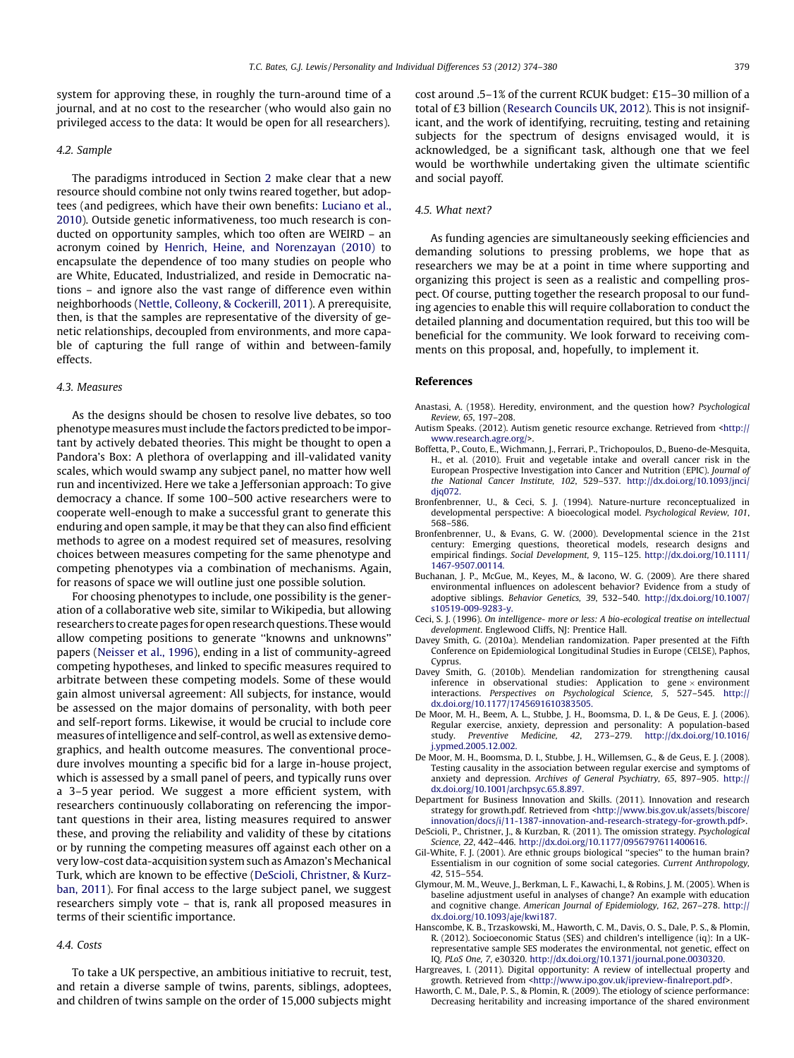<span id="page-5-0"></span>system for approving these, in roughly the turn-around time of a journal, and at no cost to the researcher (who would also gain no privileged access to the data: It would be open for all researchers).

## 4.2. Sample

The paradigms introduced in Section [2](#page-1-0) make clear that a new resource should combine not only twins reared together, but adoptees (and pedigrees, which have their own benefits: [Luciano et al.,](#page-6-0) [2010](#page-6-0)). Outside genetic informativeness, too much research is conducted on opportunity samples, which too often are WEIRD – an acronym coined by [Henrich, Heine, and Norenzayan \(2010\)](#page-6-0) to encapsulate the dependence of too many studies on people who are White, Educated, Industrialized, and reside in Democratic nations – and ignore also the vast range of difference even within neighborhoods [\(Nettle, Colleony, & Cockerill, 2011\)](#page-6-0). A prerequisite, then, is that the samples are representative of the diversity of genetic relationships, decoupled from environments, and more capable of capturing the full range of within and between-family effects.

## 4.3. Measures

As the designs should be chosen to resolve live debates, so too phenotype measures must include the factors predicted to be important by actively debated theories. This might be thought to open a Pandora's Box: A plethora of overlapping and ill-validated vanity scales, which would swamp any subject panel, no matter how well run and incentivized. Here we take a Jeffersonian approach: To give democracy a chance. If some 100–500 active researchers were to cooperate well-enough to make a successful grant to generate this enduring and open sample, it may be that they can also find efficient methods to agree on a modest required set of measures, resolving choices between measures competing for the same phenotype and competing phenotypes via a combination of mechanisms. Again, for reasons of space we will outline just one possible solution.

For choosing phenotypes to include, one possibility is the generation of a collaborative web site, similar to Wikipedia, but allowing researchers to create pages for open research questions. These would allow competing positions to generate ''knowns and unknowns'' papers [\(Neisser et al., 1996](#page-6-0)), ending in a list of community-agreed competing hypotheses, and linked to specific measures required to arbitrate between these competing models. Some of these would gain almost universal agreement: All subjects, for instance, would be assessed on the major domains of personality, with both peer and self-report forms. Likewise, it would be crucial to include core measures of intelligence and self-control, as well as extensive demographics, and health outcome measures. The conventional procedure involves mounting a specific bid for a large in-house project, which is assessed by a small panel of peers, and typically runs over a 3–5 year period. We suggest a more efficient system, with researchers continuously collaborating on referencing the important questions in their area, listing measures required to answer these, and proving the reliability and validity of these by citations or by running the competing measures off against each other on a very low-cost data-acquisition system such as Amazon's Mechanical Turk, which are known to be effective (DeScioli, Christner, & Kurzban, 2011). For final access to the large subject panel, we suggest researchers simply vote – that is, rank all proposed measures in terms of their scientific importance.

# 4.4. Costs

To take a UK perspective, an ambitious initiative to recruit, test, and retain a diverse sample of twins, parents, siblings, adoptees, and children of twins sample on the order of 15,000 subjects might cost around .5–1% of the current RCUK budget: £15–30 million of a total of £3 billion ([Research Councils UK, 2012](#page-6-0)). This is not insignificant, and the work of identifying, recruiting, testing and retaining subjects for the spectrum of designs envisaged would, it is acknowledged, be a significant task, although one that we feel would be worthwhile undertaking given the ultimate scientific and social payoff.

#### 4.5. What next?

As funding agencies are simultaneously seeking efficiencies and demanding solutions to pressing problems, we hope that as researchers we may be at a point in time where supporting and organizing this project is seen as a realistic and compelling prospect. Of course, putting together the research proposal to our funding agencies to enable this will require collaboration to conduct the detailed planning and documentation required, but this too will be beneficial for the community. We look forward to receiving comments on this proposal, and, hopefully, to implement it.

## References

- Anastasi, A. (1958). Heredity, environment, and the question how? Psychological Review, 65, 197–208.
- Autism Speaks. (2012). Autism genetic resource exchange. Retrieved from <[http://](http://www.research.agre.org/) [www.research.agre.org/>](http://www.research.agre.org/).
- Boffetta, P., Couto, E., Wichmann, J., Ferrari, P., Trichopoulos, D., Bueno-de-Mesquita, H., et al. (2010). Fruit and vegetable intake and overall cancer risk in the European Prospective Investigation into Cancer and Nutrition (EPIC). Journal of the National Cancer Institute, 102, 529–537. http://dx.doi.org/[10.1093/jnci/](http://dx.doi.org/10.1093/jnci/djq072)  $dia072.$
- Bronfenbrenner, U., & Ceci, S. J. (1994). Nature-nurture reconceptualized in developmental perspective: A bioecological model. Psychological Review, 101, 568–586.
- Bronfenbrenner, U., & Evans, G. W. (2000). Developmental science in the 21st century: Emerging questions, theoretical models, research designs and empirical findings. Social Development, 9, 115–125. http://dx.doi.org/[10.1111/](http://dx.doi.org/10.1111/1467-9507.00114) [1467-9507.00114.](http://dx.doi.org/10.1111/1467-9507.00114)
- Buchanan, J. P., McGue, M., Keyes, M., & Iacono, W. G. (2009). Are there shared environmental influences on adolescent behavior? Evidence from a study of adoptive siblings. Behavior Genetics, 39, 532–540. http://dx.doi.org/[10.1007/](http://dx.doi.org/10.1007/s10519-009-9283-y) [s10519-009-9283-y.](http://dx.doi.org/10.1007/s10519-009-9283-y)
- Ceci, S. J. (1996). On intelligence- more or less: A bio-ecological treatise on intellectual development. Englewood Cliffs, NJ: Prentice Hall.
- Davey Smith, G. (2010a). Mendelian randomization. Paper presented at the Fifth Conference on Epidemiological Longitudinal Studies in Europe (CELSE), Paphos, Cyprus.
- Davey Smith, G. (2010b). Mendelian randomization for strengthening causal inference in observational studies: Application to gene  $\times$  environment interactions. Perspectives on Psychological Science, 5, 527–545. http:// dx.doi.org/[10.1177/1745691610383505.](http://dx.doi.org/10.1177/1745691610383505)
- De Moor, M. H., Beem, A. L., Stubbe, J. H., Boomsma, D. I., & De Geus, E. J. (2006). Regular exercise, anxiety, depression and personality: A population-based<br>study. Preventive Medicine, 42, 273-279. http://dx.doi.org/10.1016/ study. Preventive Medicine, 42, 273–279. http://dx.doi.org/[10.1016/](http://dx.doi.org/10.1016/j.ypmed.2005.12.002) [j.ypmed.2005.12.002.](http://dx.doi.org/10.1016/j.ypmed.2005.12.002)
- De Moor, M. H., Boomsma, D. I., Stubbe, J. H., Willemsen, G., & de Geus, E. J. (2008). Testing causality in the association between regular exercise and symptoms of anxiety and depression. Archives of General Psychiatry, 65, 897–905. http:// dx.doi.org/[10.1001/archpsyc.65.8.897.](http://dx.doi.org/10.1001/archpsyc.65.8.897)
- Department for Business Innovation and Skills. (2011). Innovation and research strategy for growth.pdf. Retrieved from <[http://www.bis.gov.uk/assets/biscore/](http://www.bis.gov.uk/assets/biscore/innovation/docs/i/11-1387-innovation-and-research-strategy-for-growth.pdf) [innovation/docs/i/11-1387-innovation-and-research-strategy-for-growth.pdf>](http://www.bis.gov.uk/assets/biscore/innovation/docs/i/11-1387-innovation-and-research-strategy-for-growth.pdf).
- DeScioli, P., Christner, J., & Kurzban, R. (2011). The omission strategy. Psychological Science, 22, 442–446. http://dx.doi.org[/10.1177/0956797611400616.](http://dx.doi.org/10.1177/0956797611400616)
- Gil-White, F. J. (2001). Are ethnic groups biological ''species'' to the human brain? Essentialism in our cognition of some social categories. Current Anthropology, 42, 515–554.
- Glymour, M. M., Weuve, J., Berkman, L. F., Kawachi, I., & Robins, J. M. (2005). When is baseline adjustment useful in analyses of change? An example with education and cognitive change. American Journal of Epidemiology, 162, 267–278. http:// dx.doi.org/[10.1093/aje/kwi187.](http://dx.doi.org/10.1093/aje/kwi187)
- Hanscombe, K. B., Trzaskowski, M., Haworth, C. M., Davis, O. S., Dale, P. S., & Plomin, R. (2012). Socioeconomic Status (SES) and children's intelligence (iq): In a UKrepresentative sample SES moderates the environmental, not genetic, effect on IQ. PLoS One, 7, e30320. http://dx.doi.org/[10.1371/journal.pone.0030320.](http://dx.doi.org/10.1371/journal.pone.0030320)
- Hargreaves, I. (2011). Digital opportunity: A review of intellectual property and growth. Retrieved from [<http://www.ipo.gov.uk/ipreview-finalreport.pdf](http://www.ipo.gov.uk/ipreview-finalreport.pdf)>
- Haworth, C. M., Dale, P. S., & Plomin, R. (2009). The etiology of science performance: Decreasing heritability and increasing importance of the shared environment